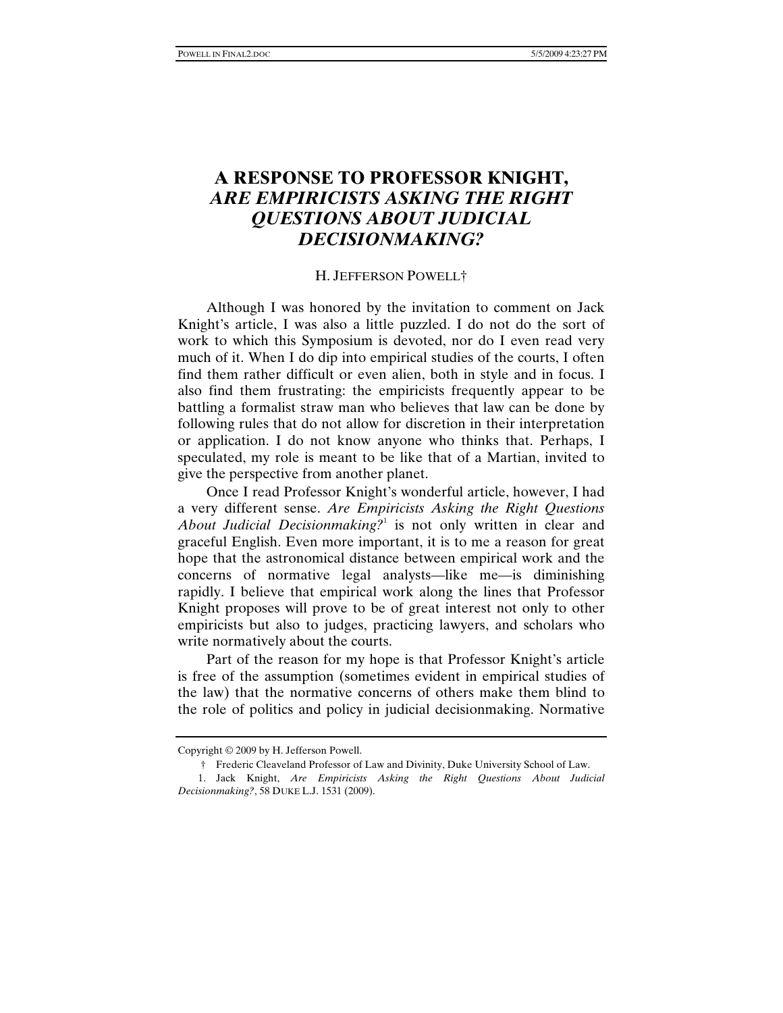## **A RESPONSE TO PROFESSOR KNIGHT,**  *ARE EMPIRICISTS ASKING THE RIGHT QUESTIONS ABOUT JUDICIAL DECISIONMAKING?*

## H. JEFFERSON POWELL†

Although I was honored by the invitation to comment on Jack Knight's article, I was also a little puzzled. I do not do the sort of work to which this Symposium is devoted, nor do I even read very much of it. When I do dip into empirical studies of the courts, I often find them rather difficult or even alien, both in style and in focus. I also find them frustrating: the empiricists frequently appear to be battling a formalist straw man who believes that law can be done by following rules that do not allow for discretion in their interpretation or application. I do not know anyone who thinks that. Perhaps, I speculated, my role is meant to be like that of a Martian, invited to give the perspective from another planet.

Once I read Professor Knight's wonderful article, however, I had a very different sense. *Are Empiricists Asking the Right Questions*  About Judicial Decisionmaking?<sup>1</sup> is not only written in clear and graceful English. Even more important, it is to me a reason for great hope that the astronomical distance between empirical work and the concerns of normative legal analysts—like me—is diminishing rapidly. I believe that empirical work along the lines that Professor Knight proposes will prove to be of great interest not only to other empiricists but also to judges, practicing lawyers, and scholars who write normatively about the courts.

Part of the reason for my hope is that Professor Knight's article is free of the assumption (sometimes evident in empirical studies of the law) that the normative concerns of others make them blind to the role of politics and policy in judicial decisionmaking. Normative

Copyright © 2009 by H. Jefferson Powell.

 <sup>†</sup> Frederic Cleaveland Professor of Law and Divinity, Duke University School of Law.

 <sup>1.</sup> Jack Knight, *Are Empiricists Asking the Right Questions About Judicial Decisionmaking?*, 58 DUKE L.J. 1531 (2009).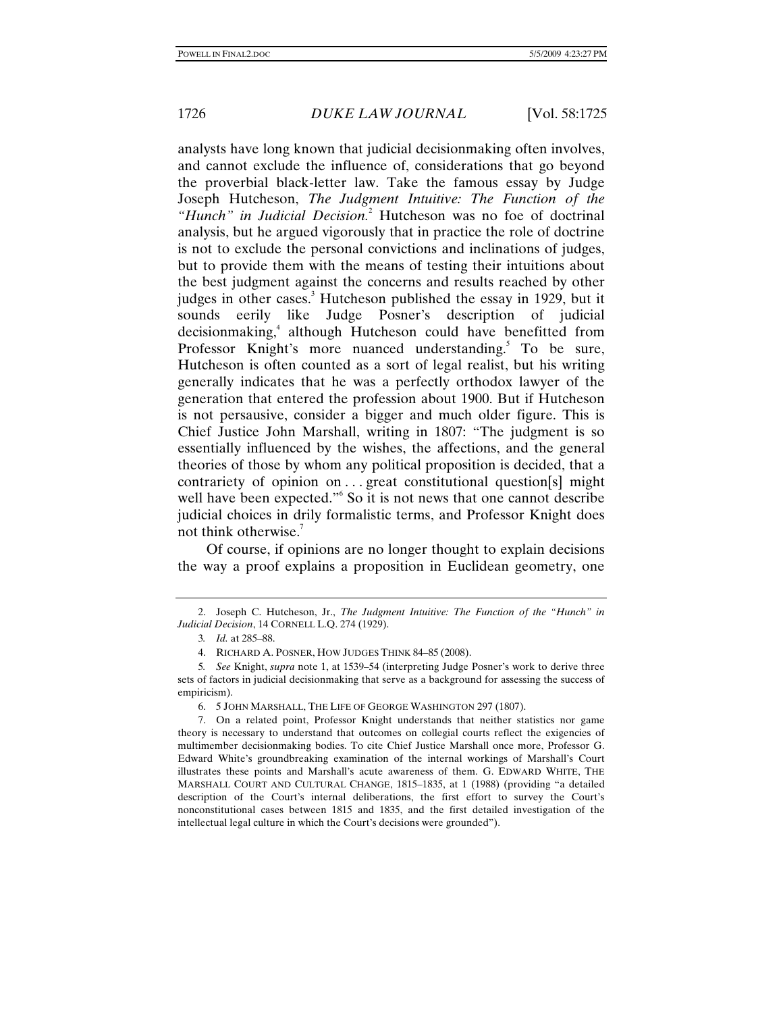analysts have long known that judicial decisionmaking often involves, and cannot exclude the influence of, considerations that go beyond the proverbial black-letter law. Take the famous essay by Judge Joseph Hutcheson, *The Judgment Intuitive: The Function of the*  "Hunch" in Judicial Decision.<sup>2</sup> Hutcheson was no foe of doctrinal analysis, but he argued vigorously that in practice the role of doctrine is not to exclude the personal convictions and inclinations of judges, but to provide them with the means of testing their intuitions about the best judgment against the concerns and results reached by other judges in other cases.<sup>3</sup> Hutcheson published the essay in 1929, but it sounds eerily like Judge Posner's description of judicial decisionmaking,<sup>4</sup> although Hutcheson could have benefitted from Professor Knight's more nuanced understanding.<sup>5</sup> To be sure, Hutcheson is often counted as a sort of legal realist, but his writing generally indicates that he was a perfectly orthodox lawyer of the generation that entered the profession about 1900. But if Hutcheson is not persausive, consider a bigger and much older figure. This is Chief Justice John Marshall, writing in 1807: "The judgment is so essentially influenced by the wishes, the affections, and the general theories of those by whom any political proposition is decided, that a contrariety of opinion on ... great constitutional question[s] might well have been expected."<sup>6</sup> So it is not news that one cannot describe judicial choices in drily formalistic terms, and Professor Knight does not think otherwise.<sup>7</sup>

Of course, if opinions are no longer thought to explain decisions the way a proof explains a proposition in Euclidean geometry, one

 <sup>2.</sup> Joseph C. Hutcheson, Jr., *The Judgment Intuitive: The Function of the "Hunch" in Judicial Decision*, 14 CORNELL L.Q. 274 (1929).

<sup>3</sup>*. Id.* at 285–88.

 <sup>4.</sup> RICHARD A. POSNER, HOW JUDGES THINK 84–85 (2008).

<sup>5</sup>*. See* Knight, *supra* note 1, at 1539–54 (interpreting Judge Posner's work to derive three sets of factors in judicial decisionmaking that serve as a background for assessing the success of empiricism).

 <sup>6. 5</sup> JOHN MARSHALL, THE LIFE OF GEORGE WASHINGTON 297 (1807).

 <sup>7.</sup> On a related point, Professor Knight understands that neither statistics nor game theory is necessary to understand that outcomes on collegial courts reflect the exigencies of multimember decisionmaking bodies. To cite Chief Justice Marshall once more, Professor G. Edward White's groundbreaking examination of the internal workings of Marshall's Court illustrates these points and Marshall's acute awareness of them. G. EDWARD WHITE, THE MARSHALL COURT AND CULTURAL CHANGE, 1815–1835, at 1 (1988) (providing "a detailed description of the Court's internal deliberations, the first effort to survey the Court's nonconstitutional cases between 1815 and 1835, and the first detailed investigation of the intellectual legal culture in which the Court's decisions were grounded").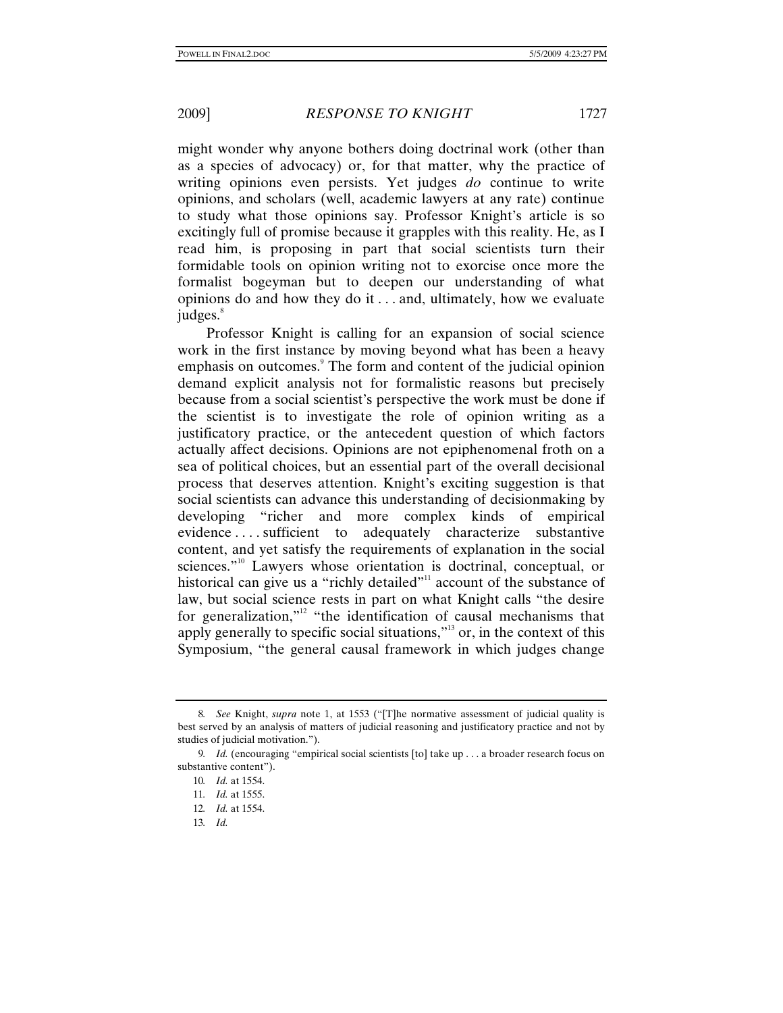might wonder why anyone bothers doing doctrinal work (other than as a species of advocacy) or, for that matter, why the practice of writing opinions even persists. Yet judges *do* continue to write opinions, and scholars (well, academic lawyers at any rate) continue to study what those opinions say. Professor Knight's article is so excitingly full of promise because it grapples with this reality. He, as I read him, is proposing in part that social scientists turn their formidable tools on opinion writing not to exorcise once more the formalist bogeyman but to deepen our understanding of what opinions do and how they do it . . . and, ultimately, how we evaluate  $i$ udges. $8$ 

Professor Knight is calling for an expansion of social science work in the first instance by moving beyond what has been a heavy emphasis on outcomes.<sup>9</sup> The form and content of the judicial opinion demand explicit analysis not for formalistic reasons but precisely because from a social scientist's perspective the work must be done if the scientist is to investigate the role of opinion writing as a justificatory practice, or the antecedent question of which factors actually affect decisions. Opinions are not epiphenomenal froth on a sea of political choices, but an essential part of the overall decisional process that deserves attention. Knight's exciting suggestion is that social scientists can advance this understanding of decisionmaking by developing "richer and more complex kinds of empirical evidence . . . . sufficient to adequately characterize substantive content, and yet satisfy the requirements of explanation in the social sciences."<sup>10</sup> Lawyers whose orientation is doctrinal, conceptual, or historical can give us a "richly detailed"<sup>11</sup> account of the substance of law, but social science rests in part on what Knight calls "the desire for generalization,"<sup>12</sup> "the identification of causal mechanisms that apply generally to specific social situations,"13 or, in the context of this Symposium, "the general causal framework in which judges change

<sup>8</sup>*. See* Knight, *supra* note 1, at 1553 ("[T]he normative assessment of judicial quality is best served by an analysis of matters of judicial reasoning and justificatory practice and not by studies of judicial motivation.").

<sup>9</sup>*. Id.* (encouraging "empirical social scientists [to] take up . . . a broader research focus on substantive content").

<sup>10</sup>*. Id.* at 1554.

<sup>11</sup>*. Id.* at 1555.

<sup>12</sup>*. Id.* at 1554.

<sup>13</sup>*. Id.*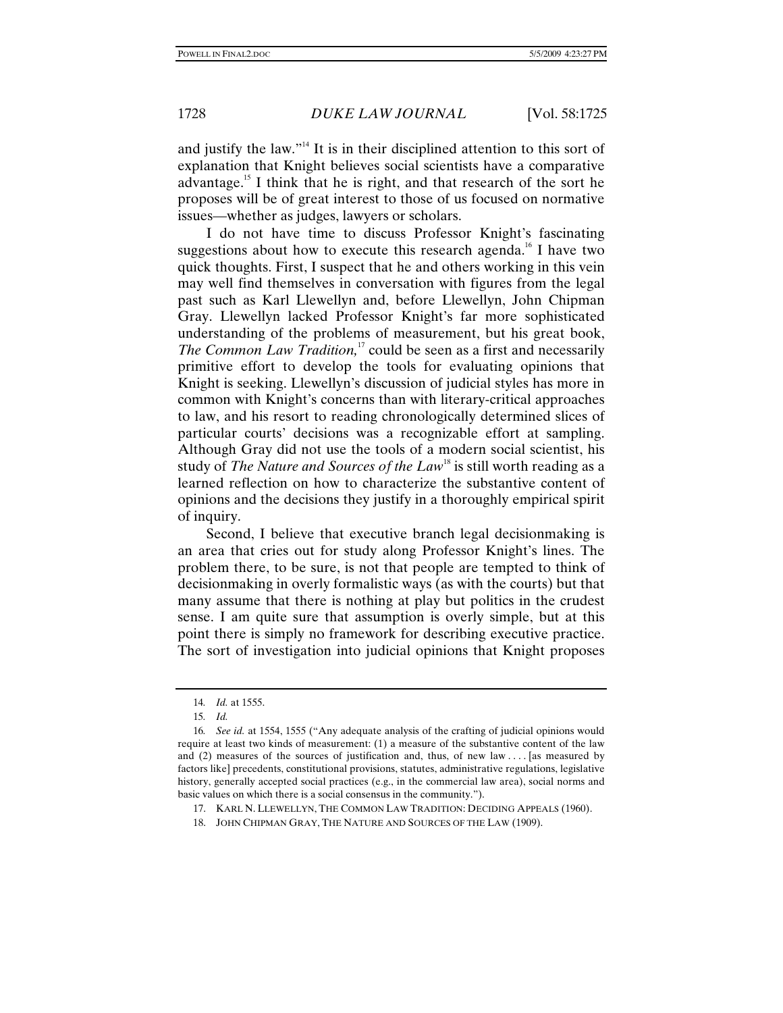and justify the law."<sup>14</sup> It is in their disciplined attention to this sort of explanation that Knight believes social scientists have a comparative advantage.<sup>15</sup> I think that he is right, and that research of the sort he proposes will be of great interest to those of us focused on normative issues—whether as judges, lawyers or scholars.

I do not have time to discuss Professor Knight's fascinating suggestions about how to execute this research agenda.<sup>16</sup> I have two quick thoughts. First, I suspect that he and others working in this vein may well find themselves in conversation with figures from the legal past such as Karl Llewellyn and, before Llewellyn, John Chipman Gray. Llewellyn lacked Professor Knight's far more sophisticated understanding of the problems of measurement, but his great book, *The Common Law Tradition*,<sup>17</sup> could be seen as a first and necessarily primitive effort to develop the tools for evaluating opinions that Knight is seeking. Llewellyn's discussion of judicial styles has more in common with Knight's concerns than with literary-critical approaches to law, and his resort to reading chronologically determined slices of particular courts' decisions was a recognizable effort at sampling. Although Gray did not use the tools of a modern social scientist, his study of *The Nature and Sources of the Law*<sup>18</sup> is still worth reading as a learned reflection on how to characterize the substantive content of opinions and the decisions they justify in a thoroughly empirical spirit of inquiry.

Second, I believe that executive branch legal decisionmaking is an area that cries out for study along Professor Knight's lines. The problem there, to be sure, is not that people are tempted to think of decisionmaking in overly formalistic ways (as with the courts) but that many assume that there is nothing at play but politics in the crudest sense. I am quite sure that assumption is overly simple, but at this point there is simply no framework for describing executive practice. The sort of investigation into judicial opinions that Knight proposes

<sup>14</sup>*. Id.* at 1555.

<sup>15</sup>*. Id.*

<sup>16</sup>*. See id.* at 1554, 1555 ("Any adequate analysis of the crafting of judicial opinions would require at least two kinds of measurement: (1) a measure of the substantive content of the law and (2) measures of the sources of justification and, thus, of new law . . . . [as measured by factors like] precedents, constitutional provisions, statutes, administrative regulations, legislative history, generally accepted social practices (e.g., in the commercial law area), social norms and basic values on which there is a social consensus in the community.").

 <sup>17.</sup> KARL N. LLEWELLYN, THE COMMON LAW TRADITION: DECIDING APPEALS (1960).

 <sup>18.</sup> JOHN CHIPMAN GRAY, THE NATURE AND SOURCES OF THE LAW (1909).